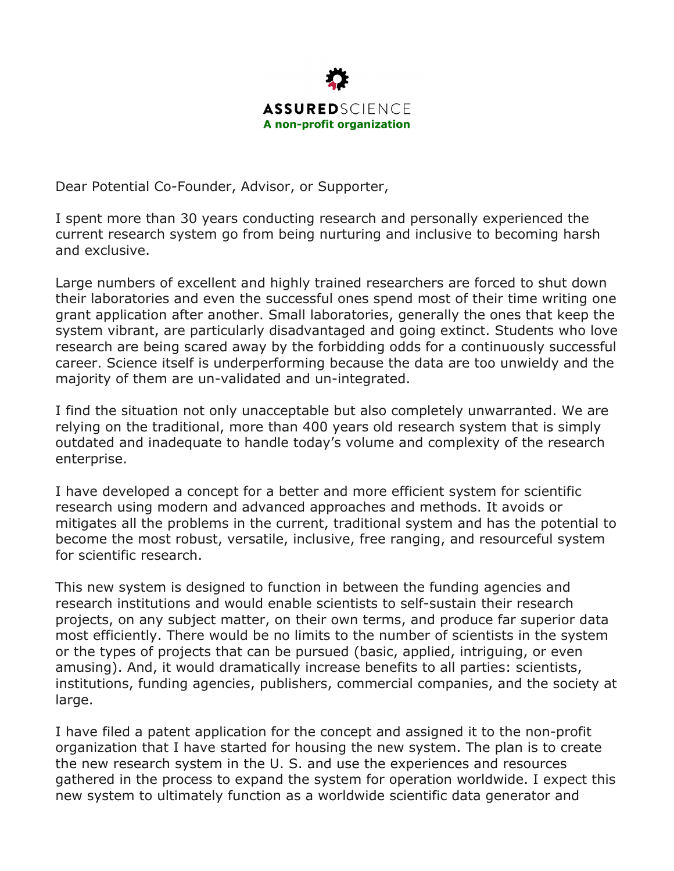

Dear Potential Co-Founder, Advisor, or Supporter,

I spent more than 30 years conducting research and personally experienced the current research system go from being nurturing and inclusive to becoming harsh and exclusive.

Large numbers of excellent and highly trained researchers are forced to shut down their laboratories and even the successful ones spend most of their time writing one grant application after another. Small laboratories, generally the ones that keep the system vibrant, are particularly disadvantaged and going extinct. Students who love research are being scared away by the forbidding odds for a continuously successful career. Science itself is underperforming because the data are too unwieldy and the majority of them are un-validated and un-integrated.

I find the situation not only unacceptable but also completely unwarranted. We are relying on the traditional, more than 400 years old research system that is simply outdated and inadequate to handle today's volume and complexity of the research enterprise.

I have developed a concept for a better and more efficient system for scientific research using modern and advanced approaches and methods. It avoids or mitigates all the problems in the current, traditional system and has the potential to become the most robust, versatile, inclusive, free ranging, and resourceful system for scientific research.

This new system is designed to function in between the funding agencies and research institutions and would enable scientists to self-sustain their research projects, on any subject matter, on their own terms, and produce far superior data most efficiently. There would be no limits to the number of scientists in the system or the types of projects that can be pursued (basic, applied, intriguing, or even amusing). And, it would dramatically increase benefits to all parties: scientists, institutions, funding agencies, publishers, commercial companies, and the society at large.

I have filed a patent application for the concept and assigned it to the non-profit organization that I have started for housing the new system. The plan is to create the new research system in the U. S. and use the experiences and resources gathered in the process to expand the system for operation worldwide. I expect this new system to ultimately function as a worldwide scientific data generator and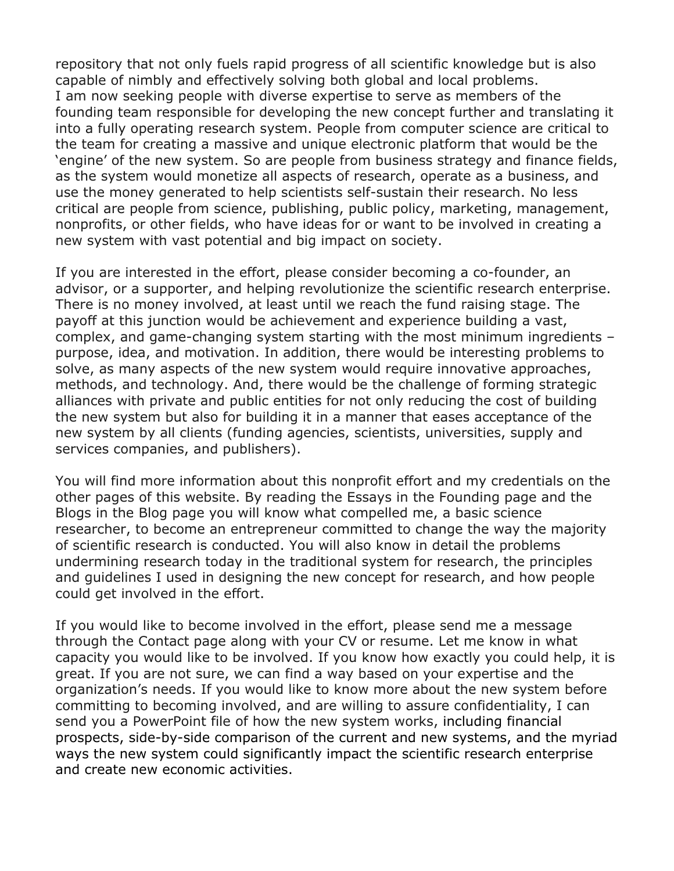repository that not only fuels rapid progress of all scientific knowledge but is also capable of nimbly and effectively solving both global and local problems. I am now seeking people with diverse expertise to serve as members of the founding team responsible for developing the new concept further and translating it into a fully operating research system. People from computer science are critical to the team for creating a massive and unique electronic platform that would be the 'engine' of the new system. So are people from business strategy and finance fields, as the system would monetize all aspects of research, operate as a business, and use the money generated to help scientists self-sustain their research. No less critical are people from science, publishing, public policy, marketing, management, nonprofits, or other fields, who have ideas for or want to be involved in creating a new system with vast potential and big impact on society.

If you are interested in the effort, please consider becoming a co-founder, an advisor, or a supporter, and helping revolutionize the scientific research enterprise. There is no money involved, at least until we reach the fund raising stage. The payoff at this junction would be achievement and experience building a vast, complex, and game-changing system starting with the most minimum ingredients – purpose, idea, and motivation. In addition, there would be interesting problems to solve, as many aspects of the new system would require innovative approaches, methods, and technology. And, there would be the challenge of forming strategic alliances with private and public entities for not only reducing the cost of building the new system but also for building it in a manner that eases acceptance of the new system by all clients (funding agencies, scientists, universities, supply and services companies, and publishers).

You will find more information about this nonprofit effort and my credentials on the other pages of this website. By reading the Essays in the Founding page and the Blogs in the Blog page you will know what compelled me, a basic science researcher, to become an entrepreneur committed to change the way the majority of scientific research is conducted. You will also know in detail the problems undermining research today in the traditional system for research, the principles and guidelines I used in designing the new concept for research, and how people could get involved in the effort.

If you would like to become involved in the effort, please send me a message through the Contact page along with your CV or resume. Let me know in what capacity you would like to be involved. If you know how exactly you could help, it is great. If you are not sure, we can find a way based on your expertise and the organization's needs. If you would like to know more about the new system before committing to becoming involved, and are willing to assure confidentiality, I can send you a PowerPoint file of how the new system works, including financial prospects, side-by-side comparison of the current and new systems, and the myriad ways the new system could significantly impact the scientific research enterprise and create new economic activities.